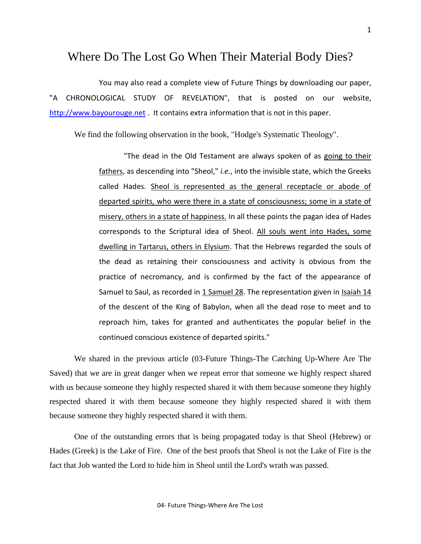## Where Do The Lost Go When Their Material Body Dies?

You may also read a complete view of Future Things by downloading our paper, "A CHRONOLOGICAL STUDY OF REVELATION", that is posted on our website, [http://www.bayourouge.net](http://www.bayourouge.net/) . It contains extra information that is not in this paper.

We find the following observation in the book, "Hodge's Systematic Theology".

"The dead in the Old Testament are always spoken of as going to their fathers, as descending into "Sheol," *i.e.*, into the invisible state, which the Greeks called Hades. Sheol is represented as the general receptacle or abode of departed spirits, who were there in a state of consciousness; some in a state of misery, others in a state of happiness. In all these points the pagan idea of Hades corresponds to the Scriptural idea of Sheol. All souls went into Hades, some dwelling in Tartarus, others in Elysium. That the Hebrews regarded the souls of the dead as retaining their consciousness and activity is obvious from the practice of necromancy, and is confirmed by the fact of the appearance of Samuel to Saul, as recorded in [1 Samuel 28.](http://www.crossbooks.com/verse.asp?ref=1Sa+28) The representation given in [Isaiah 14](http://www.crossbooks.com/verse.asp?ref=Isa+14)  of the descent of the King of Babylon, when all the dead rose to meet and to reproach him, takes for granted and authenticates the popular belief in the continued conscious existence of departed spirits."

We shared in the previous article (03-Future Things-The Catching Up-Where Are The Saved) that we are in great danger when we repeat error that someone we highly respect shared with us because someone they highly respected shared it with them because someone they highly respected shared it with them because someone they highly respected shared it with them because someone they highly respected shared it with them.

One of the outstanding errors that is being propagated today is that Sheol (Hebrew) or Hades (Greek) is the Lake of Fire. One of the best proofs that Sheol is not the Lake of Fire is the fact that Job wanted the Lord to hide him in Sheol until the Lord's wrath was passed.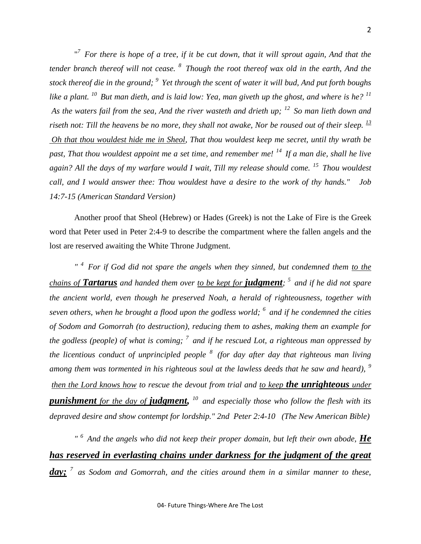"<sup>7</sup> For there is hope of a tree, if it be cut down, that it will sprout again, And that the *tender branch thereof will not cease. <sup>8</sup>Though the root thereof wax old in the earth, And the stock thereof die in the ground; <sup>9</sup>Yet through the scent of water it will bud, And put forth boughs like a plant. <sup>10</sup>But man dieth, and is laid low: Yea, man giveth up the ghost, and where is he? <sup>11</sup> As the waters fail from the sea, And the river wasteth and drieth up; <sup>12</sup>So man lieth down and*  riseth not: Till the heavens be no more, they shall not awake, Nor be roused out of their sleep. <sup>13</sup> *Oh that thou wouldest hide me in Sheol, That thou wouldest keep me secret, until thy wrath be past, That thou wouldest appoint me a set time, and remember me! <sup>14</sup>If a man die, shall he live again? All the days of my warfare would I wait, Till my release should come. <sup>15</sup>Thou wouldest call, and I would answer thee: Thou wouldest have a desire to the work of thy hands." Job 14:7-15 (American Standard Version)* 

Another proof that Sheol (Hebrew) or Hades (Greek) is not the Lake of Fire is the Greek word that Peter used in Peter 2:4-9 to describe the compartment where the fallen angels and the lost are reserved awaiting the White Throne Judgment.

*" <sup>4</sup>For if God did not spare the angels when they sinned, but condemned them to the chains of Tartarus and handed them over to be kept for judgment; <sup>5</sup>and if he did not spare the ancient world, even though he preserved Noah, a herald of righteousness, together with seven others, when he brought a flood upon the godless world; <sup>6</sup>and if he condemned the cities of Sodom and Gomorrah (to destruction), reducing them to ashes, making them an example for the godless (people) of what is coming; <sup>7</sup>and if he rescued Lot, a righteous man oppressed by the licentious conduct of unprincipled people <sup>8</sup>(for day after day that righteous man living among them was tormented in his righteous soul at the lawless deeds that he saw and heard), <sup>9</sup> then the Lord knows how to rescue the devout from trial and to keep the unrighteous under punishment for the day of judgment, <sup>10</sup>and especially those who follow the flesh with its depraved desire and show contempt for lordship." 2nd Peter 2:4-10 (The New American Bible)*

And the angels who did not keep their proper domain, but left their own abode, **He** *has reserved in everlasting chains under darkness for the judgment of the great day; <sup>7</sup>as Sodom and Gomorrah, and the cities around them in a similar manner to these,*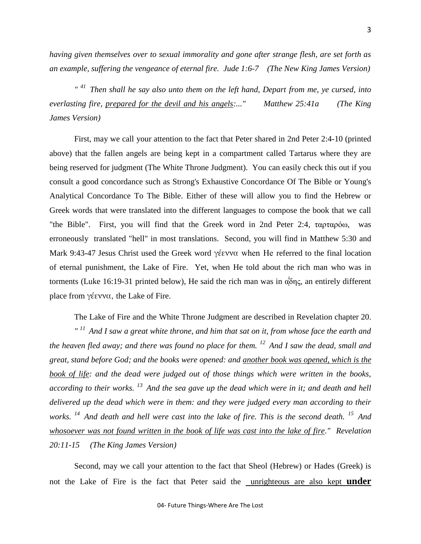*having given themselves over to sexual immorality and gone after strange flesh, are set forth as an example, suffering the vengeance of eternal fire. Jude 1:6-7 (The New King James Version)*

*" <sup>41</sup>Then shall he say also unto them on the left hand, Depart from me, ye cursed, into everlasting fire, prepared for the devil and his angels:..." Matthew 25:41a (The King James Version)*

First, may we call your attention to the fact that Peter shared in 2nd Peter 2:4-10 (printed above) that the fallen angels are being kept in a compartment called Tartarus where they are being reserved for judgment (The White Throne Judgment). You can easily check this out if you consult a good concordance such as Strong's Exhaustive Concordance Of The Bible or Young's Analytical Concordance To The Bible. Either of these will allow you to find the Hebrew or Greek words that were translated into the different languages to compose the book that we call "the Bible". First, you will find that the Greek word in 2nd Peter 2:4, ταρταρόω, was erroneously translated "hell" in most translations. Second, you will find in Matthew 5:30 and Mark 9:43-47 Jesus Christ used the Greek word γέεννα when He referred to the final location of eternal punishment, the Lake of Fire. Yet, when He told about the rich man who was in torments (Luke 16:19-31 printed below), He said the rich man was in  $\alpha \delta \eta \zeta$ , an entirely different place from γέεννα, the Lake of Fire.

The Lake of Fire and the White Throne Judgment are described in Revelation chapter 20. *" <sup>11</sup>And I saw a great white throne, and him that sat on it, from whose face the earth and the heaven fled away; and there was found no place for them. <sup>12</sup>And I saw the dead, small and great, stand before God; and the books were opened: and another book was opened, which is the book of life: and the dead were judged out of those things which were written in the books, according to their works. <sup>13</sup>And the sea gave up the dead which were in it; and death and hell delivered up the dead which were in them: and they were judged every man according to their works. <sup>14</sup>And death and hell were cast into the lake of fire. This is the second death. <sup>15</sup>And whosoever was not found written in the book of life was cast into the lake of fire." Revelation 20:11-15 (The King James Version)*

Second, may we call your attention to the fact that Sheol (Hebrew) or Hades (Greek) is not the Lake of Fire is the fact that Peter said the unrighteous are also kept **under**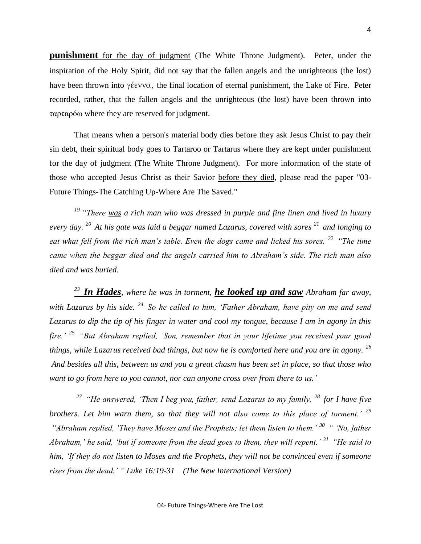**punishment** for the day of judgment (The White Throne Judgment). Peter, under the inspiration of the Holy Spirit, did not say that the fallen angels and the unrighteous (the lost) have been thrown into γέεννα, the final location of eternal punishment, the Lake of Fire. Peter recorded, rather, that the fallen angels and the unrighteous (the lost) have been thrown into ταρταρόω where they are reserved for judgment.

That means when a person's material body dies before they ask Jesus Christ to pay their sin debt, their spiritual body goes to Tartaroo or Tartarus where they are kept under punishment for the day of judgment (The White Throne Judgment). For more information of the state of those who accepted Jesus Christ as their Savior before they died, please read the paper "03- Future Things-The Catching Up-Where Are The Saved."

*<sup>19</sup> "There was a rich man who was dressed in purple and fine linen and lived in luxury every day. <sup>20</sup>At his gate was laid a beggar named Lazarus, covered with sores <sup>21</sup>and longing to eat what fell from the rich man's table. Even the dogs came and licked his sores. <sup>22</sup>"The time came when the beggar died and the angels carried him to Abraham's side. The rich man also died and was buried.* 

*<sup>23</sup>In Hades, where he was in torment, he looked up and saw Abraham far away, with Lazarus by his side. <sup>24</sup>So he called to him, 'Father Abraham, have pity on me and send Lazarus to dip the tip of his finger in water and cool my tongue, because I am in agony in this fire.' <sup>25</sup>"But Abraham replied, 'Son, remember that in your lifetime you received your good things, while Lazarus received bad things, but now he is comforted here and you are in agony. <sup>26</sup> And besides all this, between us and you a great chasm has been set in place, so that those who want to go from here to you cannot, nor can anyone cross over from there to us.'* 

*<sup>27</sup>"He answered, 'Then I beg you, father, send Lazarus to my family, <sup>28</sup>for I have five brothers. Let him warn them, so that they will not also come to this place of torment.' <sup>29</sup> "Abraham replied, 'They have Moses and the Prophets; let them listen to them.' <sup>30</sup>" 'No, father Abraham,' he said, 'but if someone from the dead goes to them, they will repent.' <sup>31</sup>"He said to him, 'If they do not listen to Moses and the Prophets, they will not be convinced even if someone rises from the dead.' " Luke 16:19-31 (The New International Version)*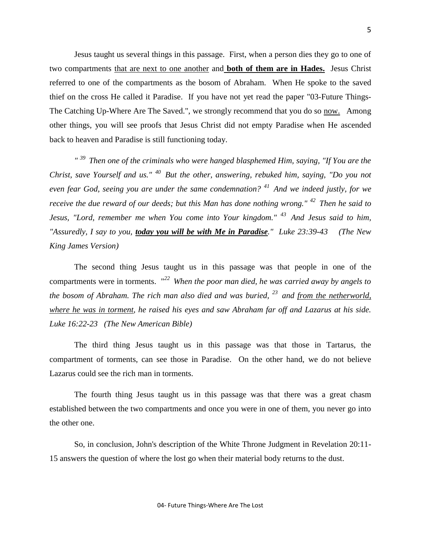Jesus taught us several things in this passage. First, when a person dies they go to one of two compartments that are next to one another and **both of them are in Hades.** Jesus Christ referred to one of the compartments as the bosom of Abraham*.* When He spoke to the saved thief on the cross He called it Paradise. If you have not yet read the paper "03-Future Things-The Catching Up-Where Are The Saved.", we strongly recommend that you do so now. Among other things, you will see proofs that Jesus Christ did not empty Paradise when He ascended back to heaven and Paradise is still functioning today.

*" <sup>39</sup>Then one of the criminals who were hanged blasphemed Him, saying, "If You are the Christ, save Yourself and us." <sup>40</sup>But the other, answering, rebuked him, saying, "Do you not even fear God, seeing you are under the same condemnation? <sup>41</sup>And we indeed justly, for we receive the due reward of our deeds; but this Man has done nothing wrong." <sup>42</sup>Then he said to Jesus, "Lord, remember me when You come into Your kingdom." <sup>43</sup>And Jesus said to him, "Assuredly, I say to you, today you will be with Me in Paradise." Luke 23:39-43 (The New King James Version)*

The second thing Jesus taught us in this passage was that people in one of the compartments were in torments. "*<sup>22</sup>When the poor man died, he was carried away by angels to the bosom of Abraham. The rich man also died and was buried, <sup>23</sup>and from the netherworld, where he was in torment, he raised his eyes and saw Abraham far off and Lazarus at his side. Luke 16:22-23 (The New American Bible)*

The third thing Jesus taught us in this passage was that those in Tartarus, the compartment of torments, can see those in Paradise. On the other hand, we do not believe Lazarus could see the rich man in torments.

The fourth thing Jesus taught us in this passage was that there was a great chasm established between the two compartments and once you were in one of them, you never go into the other one.

So, in conclusion, John's description of the White Throne Judgment in Revelation 20:11- 15 answers the question of where the lost go when their material body returns to the dust.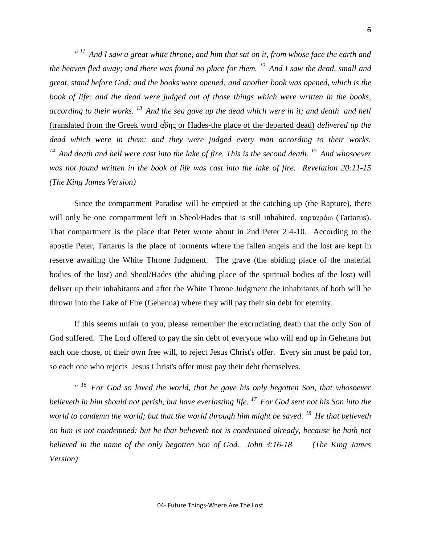*" <sup>11</sup>And I saw a great white throne, and him that sat on it, from whose face the earth and the heaven fled away; and there was found no place for them. <sup>12</sup>And I saw the dead, small and great, stand before God; and the books were opened: and another book was opened, which is the book of life: and the dead were judged out of those things which were written in the books, according to their works. <sup>13</sup>And the sea gave up the dead which were in it; and death and hell*  (translated from the Greek word α<sup>'</sup>δης or Hades-the place of the departed dead) *delivered up the dead which were in them: and they were judged every man according to their works. <sup>14</sup>And death and hell were cast into the lake of fire. This is the second death. <sup>15</sup>And whosoever was not found written in the book of life was cast into the lake of fire. Revelation 20:11-15 (The King James Version)*

Since the compartment Paradise will be emptied at the catching up (the Rapture), there will only be one compartment left in Sheol/Hades that is still inhabited, ταρταρόω (Tartarus). That compartment is the place that Peter wrote about in 2nd Peter 2:4-10. According to the apostle Peter, Tartarus is the place of torments where the fallen angels and the lost are kept in reserve awaiting the White Throne Judgment. The grave (the abiding place of the material bodies of the lost) and Sheol/Hades (the abiding place of the spiritual bodies of the lost) will deliver up their inhabitants and after the White Throne Judgment the inhabitants of both will be thrown into the Lake of Fire (Gehenna) where they will pay their sin debt for eternity.

If this seems unfair to you, please remember the excruciating death that the only Son of God suffered. The Lord offered to pay the sin debt of everyone who will end up in Gehenna but each one chose, of their own free will, to reject Jesus Christ's offer. Every sin must be paid for, so each one who rejects Jesus Christ's offer must pay their debt themselves.

*" <sup>16</sup>For God so loved the world, that he gave his only begotten Son, that whosoever believeth in him should not perish, but have everlasting life. <sup>17</sup>For God sent not his Son into the world to condemn the world; but that the world through him might be saved. <sup>18</sup>He that believeth on him is not condemned: but he that believeth not is condemned already, because he hath not believed in the name of the only begotten Son of God. John 3:16-18 (The King James Version)*